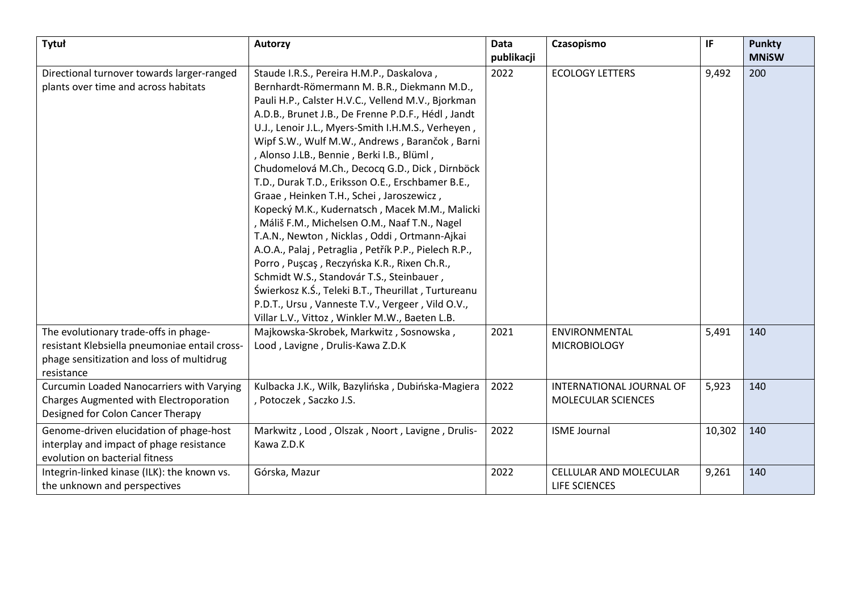| Tytuł                                         | Autorzy                                              | Data       | Czasopismo                | IF     | <b>Punkty</b> |
|-----------------------------------------------|------------------------------------------------------|------------|---------------------------|--------|---------------|
|                                               |                                                      | publikacji |                           |        | <b>MNISW</b>  |
| Directional turnover towards larger-ranged    | Staude I.R.S., Pereira H.M.P., Daskalova,            | 2022       | <b>ECOLOGY LETTERS</b>    | 9,492  | 200           |
| plants over time and across habitats          | Bernhardt-Römermann M. B.R., Diekmann M.D.,          |            |                           |        |               |
|                                               | Pauli H.P., Calster H.V.C., Vellend M.V., Bjorkman   |            |                           |        |               |
|                                               | A.D.B., Brunet J.B., De Frenne P.D.F., Hédl, Jandt   |            |                           |        |               |
|                                               | U.J., Lenoir J.L., Myers-Smith I.H.M.S., Verheyen,   |            |                           |        |               |
|                                               | Wipf S.W., Wulf M.W., Andrews, Barančok, Barni       |            |                           |        |               |
|                                               | , Alonso J.LB., Bennie, Berki I.B., Blüml,           |            |                           |        |               |
|                                               | Chudomelová M.Ch., Decocq G.D., Dick, Dirnböck       |            |                           |        |               |
|                                               | T.D., Durak T.D., Eriksson O.E., Erschbamer B.E.,    |            |                           |        |               |
|                                               | Graae, Heinken T.H., Schei, Jaroszewicz,             |            |                           |        |               |
|                                               | Kopecký M.K., Kudernatsch, Macek M.M., Malicki       |            |                           |        |               |
|                                               | , Máliš F.M., Michelsen O.M., Naaf T.N., Nagel       |            |                           |        |               |
|                                               | T.A.N., Newton, Nicklas, Oddi, Ortmann-Ajkai         |            |                           |        |               |
|                                               | A.O.A., Palaj, Petraglia, Petřík P.P., Pielech R.P., |            |                           |        |               |
|                                               | Porro, Pușcaș, Reczyńska K.R., Rixen Ch.R.,          |            |                           |        |               |
|                                               | Schmidt W.S., Standovár T.S., Steinbauer,            |            |                           |        |               |
|                                               | Świerkosz K.Ś., Teleki B.T., Theurillat, Turtureanu  |            |                           |        |               |
|                                               | P.D.T., Ursu, Vanneste T.V., Vergeer, Vild O.V.,     |            |                           |        |               |
|                                               | Villar L.V., Vittoz, Winkler M.W., Baeten L.B.       |            |                           |        |               |
| The evolutionary trade-offs in phage-         | Majkowska-Skrobek, Markwitz, Sosnowska,              | 2021       | ENVIRONMENTAL             | 5,491  | 140           |
| resistant Klebsiella pneumoniae entail cross- | Lood, Lavigne, Drulis-Kawa Z.D.K                     |            | <b>MICROBIOLOGY</b>       |        |               |
| phage sensitization and loss of multidrug     |                                                      |            |                           |        |               |
| resistance                                    |                                                      |            |                           |        |               |
| Curcumin Loaded Nanocarriers with Varying     | Kulbacka J.K., Wilk, Bazylińska, Dubińska-Magiera    | 2022       | INTERNATIONAL JOURNAL OF  | 5,923  | 140           |
| Charges Augmented with Electroporation        | , Potoczek, Saczko J.S.                              |            | <b>MOLECULAR SCIENCES</b> |        |               |
| Designed for Colon Cancer Therapy             |                                                      |            |                           |        |               |
| Genome-driven elucidation of phage-host       | Markwitz, Lood, Olszak, Noort, Lavigne, Drulis-      | 2022       | <b>ISME Journal</b>       | 10,302 | 140           |
| interplay and impact of phage resistance      | Kawa Z.D.K                                           |            |                           |        |               |
| evolution on bacterial fitness                |                                                      |            |                           |        |               |
| Integrin-linked kinase (ILK): the known vs.   | Górska, Mazur                                        | 2022       | CELLULAR AND MOLECULAR    | 9,261  | 140           |
| the unknown and perspectives                  |                                                      |            | LIFE SCIENCES             |        |               |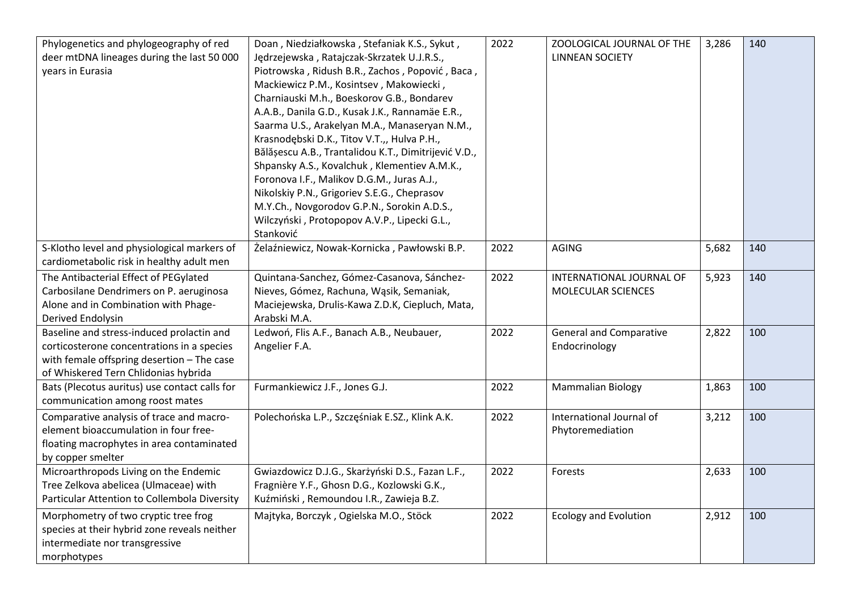| Phylogenetics and phylogeography of red<br>deer mtDNA lineages during the last 50 000<br>years in Eurasia                                                                     | Doan, Niedziałkowska, Stefaniak K.S., Sykut,<br>Jędrzejewska, Ratajczak-Skrzatek U.J.R.S.,<br>Piotrowska, Ridush B.R., Zachos, Popović, Baca,<br>Mackiewicz P.M., Kosintsev, Makowiecki,<br>Charniauski M.h., Boeskorov G.B., Bondarev<br>A.A.B., Danila G.D., Kusak J.K., Rannamäe E.R.,<br>Saarma U.S., Arakelyan M.A., Manaseryan N.M.,<br>Krasnodębski D.K., Titov V.T.,, Hulva P.H.,<br>Bălășescu A.B., Trantalidou K.T., Dimitrijević V.D.,<br>Shpansky A.S., Kovalchuk, Klementiev A.M.K.,<br>Foronova I.F., Malikov D.G.M., Juras A.J.,<br>Nikolskiy P.N., Grigoriev S.E.G., Cheprasov<br>M.Y.Ch., Novgorodov G.P.N., Sorokin A.D.S.,<br>Wilczyński, Protopopov A.V.P., Lipecki G.L.,<br>Stanković | 2022 | ZOOLOGICAL JOURNAL OF THE<br><b>LINNEAN SOCIETY</b> | 3,286 | 140 |
|-------------------------------------------------------------------------------------------------------------------------------------------------------------------------------|------------------------------------------------------------------------------------------------------------------------------------------------------------------------------------------------------------------------------------------------------------------------------------------------------------------------------------------------------------------------------------------------------------------------------------------------------------------------------------------------------------------------------------------------------------------------------------------------------------------------------------------------------------------------------------------------------------|------|-----------------------------------------------------|-------|-----|
| S-Klotho level and physiological markers of<br>cardiometabolic risk in healthy adult men                                                                                      | Żelaźniewicz, Nowak-Kornicka, Pawłowski B.P.                                                                                                                                                                                                                                                                                                                                                                                                                                                                                                                                                                                                                                                               | 2022 | AGING                                               | 5,682 | 140 |
| The Antibacterial Effect of PEGylated<br>Carbosilane Dendrimers on P. aeruginosa<br>Alone and in Combination with Phage-<br>Derived Endolysin                                 | Quintana-Sanchez, Gómez-Casanova, Sánchez-<br>Nieves, Gómez, Rachuna, Wąsik, Semaniak,<br>Maciejewska, Drulis-Kawa Z.D.K, Ciepluch, Mata,<br>Arabski M.A.                                                                                                                                                                                                                                                                                                                                                                                                                                                                                                                                                  | 2022 | INTERNATIONAL JOURNAL OF<br>MOLECULAR SCIENCES      | 5,923 | 140 |
| Baseline and stress-induced prolactin and<br>corticosterone concentrations in a species<br>with female offspring desertion - The case<br>of Whiskered Tern Chlidonias hybrida | Ledwoń, Flis A.F., Banach A.B., Neubauer,<br>Angelier F.A.                                                                                                                                                                                                                                                                                                                                                                                                                                                                                                                                                                                                                                                 | 2022 | <b>General and Comparative</b><br>Endocrinology     | 2,822 | 100 |
| Bats (Plecotus auritus) use contact calls for<br>communication among roost mates                                                                                              | Furmankiewicz J.F., Jones G.J.                                                                                                                                                                                                                                                                                                                                                                                                                                                                                                                                                                                                                                                                             | 2022 | <b>Mammalian Biology</b>                            | 1,863 | 100 |
| Comparative analysis of trace and macro-<br>element bioaccumulation in four free-<br>floating macrophytes in area contaminated<br>by copper smelter                           | Polechońska L.P., Szczęśniak E.SZ., Klink A.K.                                                                                                                                                                                                                                                                                                                                                                                                                                                                                                                                                                                                                                                             | 2022 | International Journal of<br>Phytoremediation        | 3,212 | 100 |
| Microarthropods Living on the Endemic<br>Tree Zelkova abelicea (Ulmaceae) with<br>Particular Attention to Collembola Diversity                                                | Gwiazdowicz D.J.G., Skarżyński D.S., Fazan L.F.,<br>Fragnière Y.F., Ghosn D.G., Kozlowski G.K.,<br>Kuźmiński, Remoundou I.R., Zawieja B.Z.                                                                                                                                                                                                                                                                                                                                                                                                                                                                                                                                                                 | 2022 | Forests                                             | 2,633 | 100 |
| Morphometry of two cryptic tree frog<br>species at their hybrid zone reveals neither<br>intermediate nor transgressive<br>morphotypes                                         | Majtyka, Borczyk, Ogielska M.O., Stöck                                                                                                                                                                                                                                                                                                                                                                                                                                                                                                                                                                                                                                                                     | 2022 | <b>Ecology and Evolution</b>                        | 2,912 | 100 |